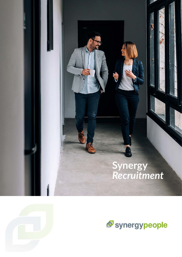